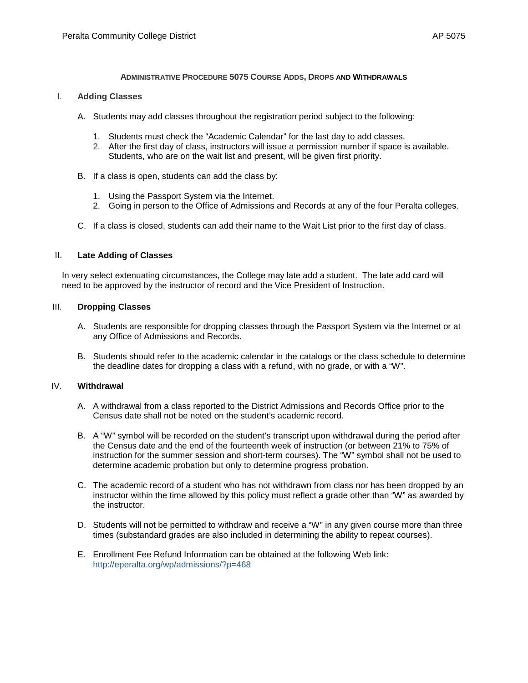### **ADMINISTRATIVE PROCEDURE 5075 COURSE ADDS, DROPS AND WITHDRAWALS**

### I. **Adding Classes**

- A. Students may add classes throughout the registration period subject to the following:
	- 1. Students must check the "Academic Calendar" for the last day to add classes.
	- 2. After the first day of class, instructors will issue a permission number if space is available. Students, who are on the wait list and present, will be given first priority.
- B. If a class is open, students can add the class by:
	- 1. Using the [Passport System](https://passport.peralta.edu/) via the Internet.
	- 2. Going in person to the Office of Admissions and Records at any of the four Peralta colleges.
- C. If a class is closed, students can add their name to the [Wait List](http://eperalta.org/wp/admissions/?p=458) prior to the first day of class.

### II. **Late Adding of Classes**

In very select extenuating circumstances, the College may late add a student. The late add card will need to be approved by the instructor of record and the Vice President of Instruction.

### III. **Dropping Classes**

- A. Students are responsible for dropping classes through the Passport System via the Internet or at any Office of Admissions and Records.
- B. Students should refer to the [academic calendar](http://eperalta.org/wp/admissions/?cat=3380) in the catalogs or the class schedule to determine the deadline dates for dropping a class with a refund, with no grade, or with a "W".

# IV. **Withdrawal**

- A. A withdrawal from a class reported to the District Admissions and Records Office prior to the Census date shall not be noted on the student's academic record.
- B. A "W" symbol will be recorded on the student's transcript upon withdrawal during the period after the Census date and the end of the fourteenth week of instruction (or between 21% to 75% of instruction for the summer session and short-term courses). The "W" symbol shall not be used to determine academic probation but only to determine progress probation.
- C. The academic record of a student who has not withdrawn from class nor has been dropped by an instructor within the time allowed by this policy must reflect a grade other than "W" as awarded by the instructor.
- D. Students will not be permitted to withdraw and receive a "W" in any given course more than three times (substandard grades are also included in determining the ability to repeat courses).
- E. [Enrollment Fee Refund Information](http://eperalta.org/wp/admissions/?p=468) can be obtained at the following Web link: <http://eperalta.org/wp/admissions/?p=468>